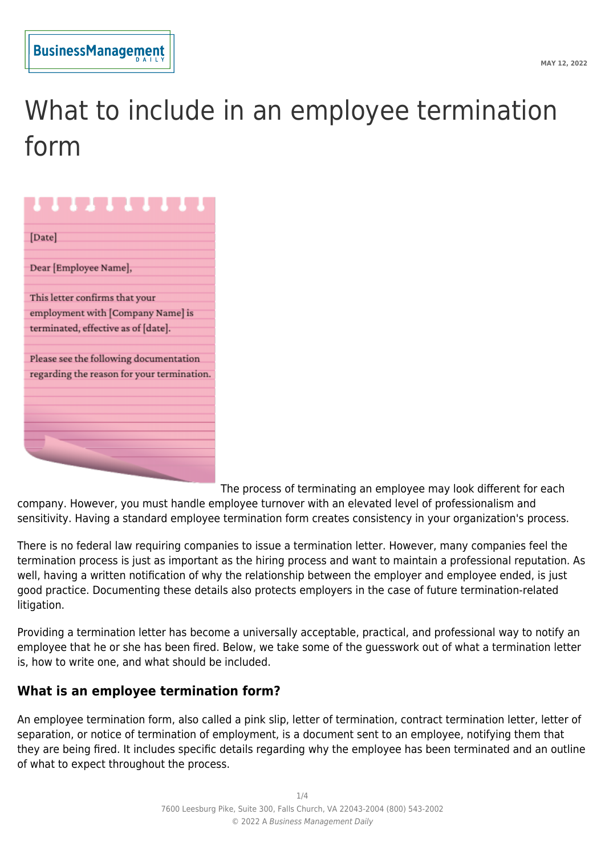# What to include in an employee termination form

| [Date]                                     |
|--------------------------------------------|
| Dear [Employee Name],                      |
| This letter confirms that your             |
| employment with [Company Name] is          |
| terminated, effective as of [date].        |
| Please see the following documentation     |
| regarding the reason for your termination. |
|                                            |
|                                            |
|                                            |
|                                            |
|                                            |
|                                            |

The process of terminating an employee may look different for each company. However, you must handle employee turnover with an elevated level of professionalism and sensitivity. Having a standard employee termination form creates consistency in your organization's process.

There is no federal law requiring companies to issue a termination letter. However, many companies feel the termination process is just as important as the hiring process and want to maintain a professional reputation. As well, having a written notification of why the relationship between the employer and employee ended, is just good practice. Documenting these details also protects employers in the case of future termination-related litigation.

Providing a termination letter has become a universally acceptable, practical, and professional way to notify an employee that he or she has been fired. Below, we take some of the guesswork out of what a termination letter is, how to write one, and what should be included.

# **What is an employee termination form?**

An employee termination form, also called a pink slip, letter of termination, contract termination letter, letter of separation, or notice of termination of employment, is a document sent to an employee, notifying them that they are being fired. It includes specific details regarding why the employee has been terminated and an outline of what to expect throughout the process.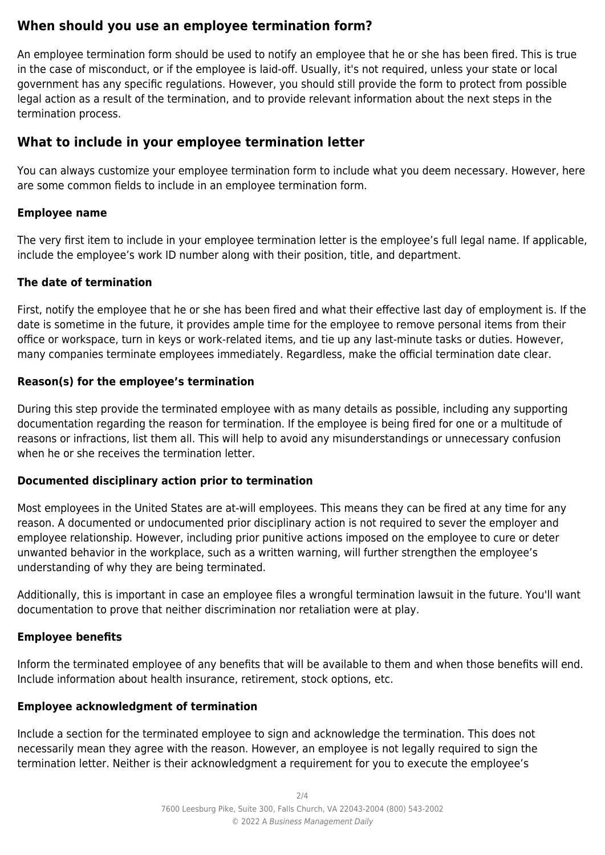# **When should you use an employee termination form?**

An employee termination form should be used to notify an employee that he or she has been fired. This is true in the case of misconduct, or if the employee is laid-off. Usually, it's not required, unless your state or local government has any specific regulations. However, you should still provide the form to protect from possible legal action as a result of the termination, and to provide relevant information about the next steps in the termination process.

# **What to include in your employee termination letter**

You can always customize your employee termination form to include what you deem necessary. However, here are some common fields to include in an employee termination form.

## **Employee name**

The very first item to include in your employee termination letter is the employee's full legal name. If applicable, include the employee's work ID number along with their position, title, and department.

## **The date of termination**

First, notify the employee that he or she has been fired and what their effective last day of employment is. If the date is sometime in the future, it provides ample time for the employee to remove personal items from their office or workspace, turn in keys or work-related items, and tie up any last-minute tasks or duties. However, many companies terminate employees immediately. Regardless, make the official termination date clear.

#### **Reason(s) for the employee's termination**

During this step provide the terminated employee with as many details as possible, including any supporting documentation regarding the reason for termination. If the employee is being fired for one or a multitude of reasons or infractions, list them all. This will help to avoid any misunderstandings or unnecessary confusion when he or she receives the termination letter.

#### **Documented disciplinary action prior to termination**

Most employees in the United States are at-will employees. This means they can be fired at any time for any reason. A documented or undocumented prior disciplinary action is not required to sever the employer and employee relationship. However, including prior punitive actions imposed on the employee to cure or deter unwanted behavior in the workplace, such as a written warning, will further strengthen the employee's understanding of why they are being terminated.

Additionally, this is important in case an employee files a wrongful termination lawsuit in the future. You'll want documentation to prove that neither discrimination nor retaliation were at play.

# **Employee benefits**

Inform the terminated employee of any benefits that will be available to them and when those benefits will end. Include information about health insurance, retirement, stock options, etc.

#### **Employee acknowledgment of termination**

Include a section for the terminated employee to sign and acknowledge the termination. This does not necessarily mean they agree with the reason. However, an employee is not legally required to sign the termination letter. Neither is their acknowledgment a requirement for you to execute the employee's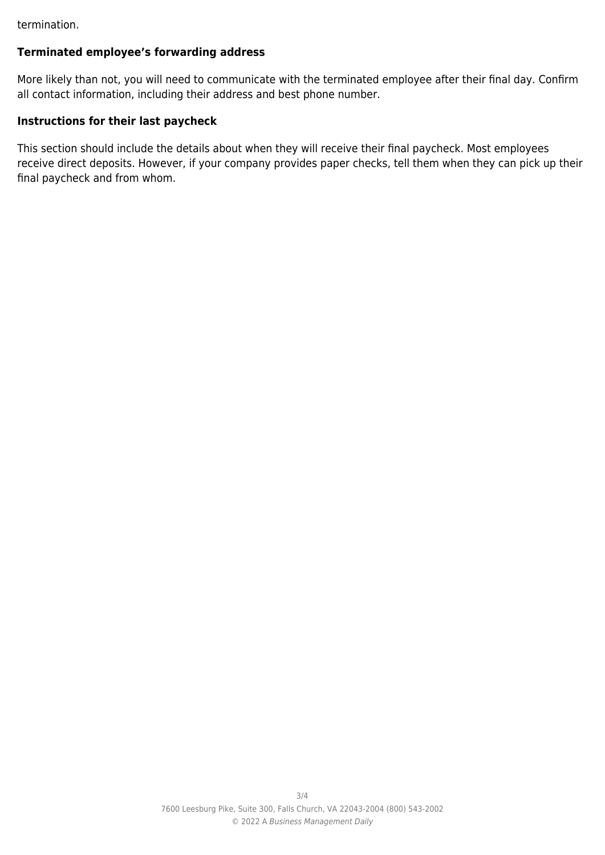termination.

#### **Terminated employee's forwarding address**

More likely than not, you will need to communicate with the terminated employee after their final day. Confirm all contact information, including their address and best phone number.

# **Instructions for their last paycheck**

This section should include the details about when they will receive their final paycheck. Most employees receive direct deposits. However, if your company provides paper checks, tell them when they can pick up their final paycheck and from whom.